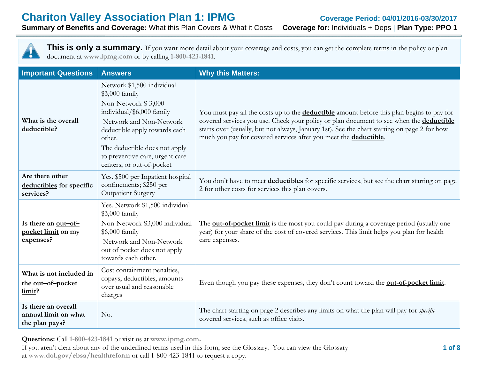## **Chariton Valley Association Plan 1: IPMG Coverage Period: 04/01/2016-03/30/2017**<br> **Summary of Benefits and Coverage:** What this Plan Covers & What it Costs **Coverage for: Individuals + Deps | Plan Type: PPO 1 Summary of Benefits and Coverage: What this Plan Covers & What it Costs**



This is only a summary. If you want more detail about your coverage and costs, you can get the complete terms in the policy or plan document at **www.ipmg.com** or by calling **1-800-423-1841**.

| <b>Important Questions</b>                                    | <b>Answers</b>                                                                                                                                                                                                                                                          | <b>Why this Matters:</b>                                                                                                                                                                                                                                                                                                                                               |
|---------------------------------------------------------------|-------------------------------------------------------------------------------------------------------------------------------------------------------------------------------------------------------------------------------------------------------------------------|------------------------------------------------------------------------------------------------------------------------------------------------------------------------------------------------------------------------------------------------------------------------------------------------------------------------------------------------------------------------|
| What is the overall<br>deductible?                            | Network \$1,500 individual<br>\$3,000 family<br>Non-Network-\$3,000<br>individual/\$6,000 family<br>Network and Non-Network<br>deductible apply towards each<br>other.<br>The deductible does not apply<br>to preventive care, urgent care<br>centers, or out-of-pocket | You must pay all the costs up to the <b>deductible</b> amount before this plan begins to pay for<br>covered services you use. Check your policy or plan document to see when the <b>deductible</b><br>starts over (usually, but not always, January 1st). See the chart starting on page 2 for how<br>much you pay for covered services after you meet the deductible. |
| Are there other<br>deductibles for specific<br>services?      | Yes. \$500 per Inpatient hospital<br>confinements; \$250 per<br><b>Outpatient Surgery</b>                                                                                                                                                                               | You don't have to meet deductibles for specific services, but see the chart starting on page<br>2 for other costs for services this plan covers.                                                                                                                                                                                                                       |
| Is there an out-of-<br>pocket limit on my<br>expenses?        | Yes. Network \$1,500 individual<br>\$3,000 family<br>Non-Network-\$3,000 individual<br>\$6,000 family<br>Network and Non-Network<br>out of pocket does not apply<br>towards each other.                                                                                 | The <b>out-of-pocket limit</b> is the most you could pay during a coverage period (usually one<br>year) for your share of the cost of covered services. This limit helps you plan for health<br>care expenses.                                                                                                                                                         |
| What is not included in<br>the out-of-pocket<br>limit?        | Cost containment penalties,<br>copays, deductibles, amounts<br>over usual and reasonable<br>charges                                                                                                                                                                     | Even though you pay these expenses, they don't count toward the <b>out-of-pocket limit</b> .                                                                                                                                                                                                                                                                           |
| Is there an overall<br>annual limit on what<br>the plan pays? | No.                                                                                                                                                                                                                                                                     | The chart starting on page 2 describes any limits on what the plan will pay for <i>specific</i><br>covered services, such as office visits.                                                                                                                                                                                                                            |

**Questions:** Call **1-800-423-1841** or visit us at **www.ipmg.com.**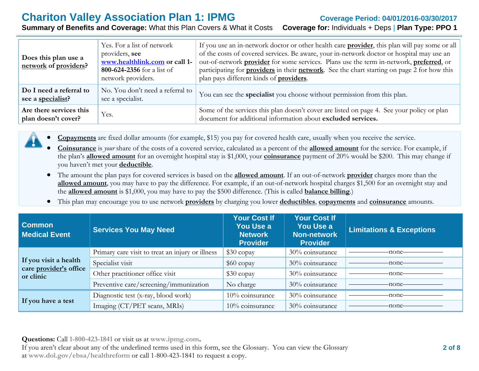# **Chariton Valley Association Plan 1: IPMG Coverage Period: 04/01/2016-03/30/2017**

**Summary of Benefits and Coverage:** What this Plan Covers & What it Costs **Coverage for:** Individuals + Deps | **Plan Type: PPO 1**

| Does this plan use a<br>network of providers?  | Yes. For a list of network<br>providers, see<br>www.healthlink.com or call 1-<br>800-624-2356 for a list of<br>network providers. | If you use an in-network doctor or other health care <b>provider</b> , this plan will pay some or all<br>of the costs of covered services. Be aware, your in-network doctor or hospital may use an<br>out-of-network <b>provider</b> for some services. Plans use the term in-network, <b>preferred</b> , or<br>participating for <b>providers</b> in their <b>network</b> . See the chart starting on page 2 for how this<br>plan pays different kinds of <b>providers</b> . |
|------------------------------------------------|-----------------------------------------------------------------------------------------------------------------------------------|-------------------------------------------------------------------------------------------------------------------------------------------------------------------------------------------------------------------------------------------------------------------------------------------------------------------------------------------------------------------------------------------------------------------------------------------------------------------------------|
| Do I need a referral to<br>see a specialist?   | No. You don't need a referral to<br>see a specialist.                                                                             | You can see the <b>specialist</b> you choose without permission from this plan.                                                                                                                                                                                                                                                                                                                                                                                               |
| Are there services this<br>plan doesn't cover? | Yes.                                                                                                                              | Some of the services this plan doesn't cover are listed on page 4. See your policy or plan<br>document for additional information about excluded services.                                                                                                                                                                                                                                                                                                                    |



0 **Copayments** are fixed dollar amounts (for example, \$15) you pay for covered health care, usually when you receive the service.

- 0 **Coinsurance** is *your* share of the costs of a covered service, calculated as a percent of the **allowed amount** for the service. For example, if the plan's **allowed amount** for an overnight hospital stay is \$1,000, your **coinsurance** payment of 20% would be \$200. This may change if you haven't met your **deductible**.
- The amount the plan pays for covered services is based on the **allowed amount**. If an out-of-network **provider** charges more than the **allowed amount**, you may have to pay the difference. For example, if an out-of-network hospital charges \$1,500 for an overnight stay and the **allowed amount** is \$1,000, you may have to pay the \$500 difference. (This is called **balance billing**.)
- $\bullet$ This plan may encourage you to use network **providers** by charging you lower **deductibles**, **copayments** and **coinsurance** amounts.

| <b>Common</b><br>Medical Event      | <b>Services You May Need</b>                     | <b>Your Cost If</b><br>You Use a<br><b>Network</b><br><b>Provider</b> | <b>Your Cost If</b><br>You Use a<br><b>Non-network</b><br>Provider | <b>Limitations &amp; Exceptions</b> |
|-------------------------------------|--------------------------------------------------|-----------------------------------------------------------------------|--------------------------------------------------------------------|-------------------------------------|
| If you visit a health               | Primary care visit to treat an injury or illness | $$30$ copay                                                           | 30% coinsurance                                                    | -none-                              |
|                                     | Specialist visit                                 | $$60$ copay                                                           | 30% coinsurance                                                    | -none-                              |
| care provider's office<br>or clinic | Other practitioner office visit                  | $$30$ copay                                                           | 30% coinsurance                                                    | -none-                              |
|                                     | Preventive care/screening/immunization           | No charge                                                             | 30% coinsurance                                                    | -none–                              |
| If you have a test                  | Diagnostic test (x-ray, blood work)              | 10% coinsurance                                                       | 30% coinsurance                                                    | -none-                              |
|                                     | Imaging (CT/PET scans, MRIs)                     | 10% coinsurance                                                       | 30% coinsurance                                                    | -none-                              |

**Questions:** Call **1-800-423-1841** or visit us at **www.ipmg.com.**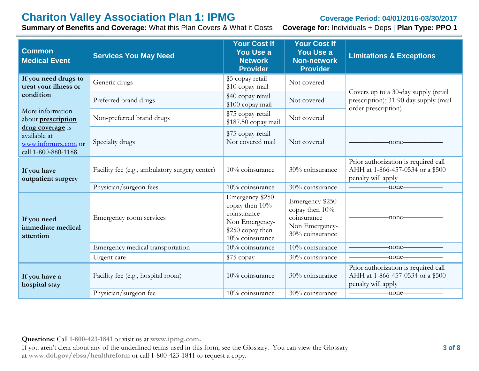# **Chariton Valley Association Plan 1: IPMG Coverage Period: 04/01/2016-03/30/2017**<br> **Summary of Benefits and Coverage:** What this Plan Covers & What it Costs **Coverage for:** Individuals + Deps | Plan Type: PPO 1

**Summary of Benefits and Coverage: What this Plan Covers & What it Costs** 

| <b>Common</b><br><b>Medical Event</b>                                           | <b>Services You May Need</b>                   | <b>Your Cost If</b><br><b>You Use a</b><br><b>Network</b><br><b>Provider</b>                              | <b>Your Cost If</b><br><b>You Use a</b><br><b>Non-network</b><br><b>Provider</b>      | <b>Limitations &amp; Exceptions</b>                                                                  |
|---------------------------------------------------------------------------------|------------------------------------------------|-----------------------------------------------------------------------------------------------------------|---------------------------------------------------------------------------------------|------------------------------------------------------------------------------------------------------|
| If you need drugs to<br>treat your illness or                                   | Generic drugs                                  | \$5 copay retail<br>\$10 copay mail                                                                       | Not covered                                                                           |                                                                                                      |
| condition                                                                       | Preferred brand drugs                          | \$40 copay retail<br>\$100 copay mail                                                                     | Not covered                                                                           | Covers up to a 30-day supply (retail<br>prescription); 31-90 day supply (mail<br>order prescription) |
| More information<br>about <b>prescription</b>                                   | Non-preferred brand drugs                      | \$75 copay retail<br>\$187.50 copay mail                                                                  | Not covered                                                                           |                                                                                                      |
| drug coverage is<br>available at<br>www.informrx.com or<br>call 1-800-880-1188. | Specialty drugs                                | \$75 copay retail<br>Not covered mail                                                                     | Not covered                                                                           | -none-                                                                                               |
| If you have<br>outpatient surgery                                               | Facility fee (e.g., ambulatory surgery center) | 10% coinsurance                                                                                           | 30% coinsurance                                                                       | Prior authorization is required call<br>AHH at 1-866-457-0534 or a \$500<br>penalty will apply       |
|                                                                                 | Physician/surgeon fees                         | 10% coinsurance                                                                                           | 30% coinsurance                                                                       | $-$ none $-$                                                                                         |
| If you need<br>immediate medical<br>attention                                   | Emergency room services                        | Emergency-\$250<br>copay then 10%<br>coinsurance<br>Non Emergency-<br>\$250 copay then<br>10% coinsurance | Emergency-\$250<br>copay then 10%<br>coinsurance<br>Non Emergency-<br>30% coinsurance | -none-                                                                                               |
|                                                                                 | Emergency medical transportation               | 10% coinsurance                                                                                           | 10% coinsurance                                                                       | -none-                                                                                               |
|                                                                                 | Urgent care                                    | \$75 copay                                                                                                | 30% coinsurance                                                                       | -none-                                                                                               |
| If you have a<br>hospital stay                                                  | Facility fee (e.g., hospital room)             | 10% coinsurance                                                                                           | 30% coinsurance                                                                       | Prior authorization is required call<br>AHH at 1-866-457-0534 or a \$500<br>penalty will apply       |
|                                                                                 | Physician/surgeon fee                          | 10% coinsurance                                                                                           | 30% coinsurance                                                                       | -none-                                                                                               |

**Questions:** Call **1-800-423-1841** or visit us at **www.ipmg.com.**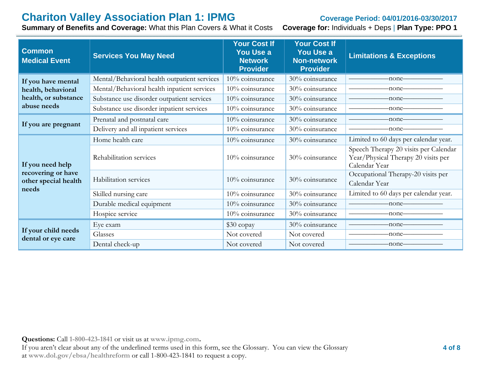# **Chariton Valley Association Plan 1: IPMG Coverage Period: 04/01/2016-03/30/2017**<br> **Summary of Benefits and Coverage:** What this Plan Covers & What it Costs **Coverage for:** Individuals + Deps | Plan Type: PPO 1

**Summary of Benefits and Coverage: What this Plan Covers & What it Costs** 

| <b>Common</b><br><b>Medical Event</b>      | <b>Services You May Need</b>                 | <b>Your Cost If</b><br>You Use a<br><b>Network</b><br><b>Provider</b> | <b>Your Cost If</b><br>You Use a<br><b>Non-network</b><br><b>Provider</b> | <b>Limitations &amp; Exceptions</b>                                                           |
|--------------------------------------------|----------------------------------------------|-----------------------------------------------------------------------|---------------------------------------------------------------------------|-----------------------------------------------------------------------------------------------|
| If you have mental                         | Mental/Behavioral health outpatient services | 10% coinsurance                                                       | 30% coinsurance                                                           | -none-                                                                                        |
| health, behavioral                         | Mental/Behavioral health inpatient services  | 10% coinsurance                                                       | 30% coinsurance                                                           | -none—                                                                                        |
| health, or substance                       | Substance use disorder outpatient services   | 10% coinsurance                                                       | 30% coinsurance                                                           | -none-                                                                                        |
| abuse needs                                | Substance use disorder inpatient services    | 10% coinsurance                                                       | 30% coinsurance                                                           | -none-                                                                                        |
| If you are pregnant                        | Prenatal and postnatal care                  | 10% coinsurance                                                       | 30% coinsurance                                                           | -none-                                                                                        |
|                                            | Delivery and all inpatient services          | 10% coinsurance                                                       | 30% coinsurance                                                           | -none–                                                                                        |
|                                            | Home health care                             | 10% coinsurance                                                       | 30% coinsurance                                                           | Limited to 60 days per calendar year.                                                         |
| If you need help                           | Rehabilitation services                      | 10% coinsurance                                                       | 30% coinsurance                                                           | Speech Therapy 20 visits per Calendar<br>Year/Physical Therapy 20 visits per<br>Calendar Year |
| recovering or have<br>other special health | Habilitation services                        | 10% coinsurance                                                       | 30% coinsurance                                                           | Occupational Therapy-20 visits per<br>Calendar Year                                           |
| needs                                      | Skilled nursing care                         | 10% coinsurance                                                       | 30% coinsurance                                                           | Limited to 60 days per calendar year.                                                         |
|                                            | Durable medical equipment                    | 10% coinsurance                                                       | 30% coinsurance                                                           | -none-                                                                                        |
|                                            | Hospice service                              | 10% coinsurance                                                       | 30% coinsurance                                                           |                                                                                               |
|                                            | Eye exam                                     | \$30 copay                                                            | 30% coinsurance                                                           | -none-                                                                                        |
| If your child needs                        | Glasses                                      | Not covered                                                           | Not covered                                                               | -none-                                                                                        |
| dental or eye care                         | Dental check-up                              | Not covered                                                           | Not covered                                                               | -none-                                                                                        |

**Questions:** Call **1-800-423-1841** or visit us at **www.ipmg.com.**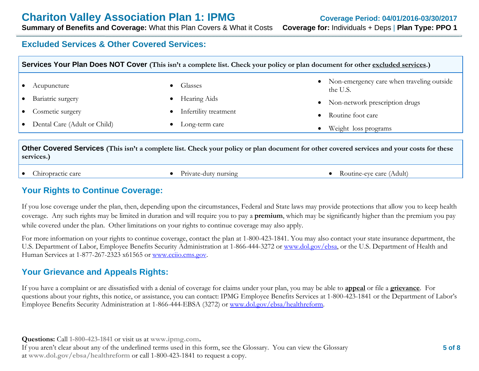# **Chariton Valley Association Plan 1: IPMG** Coverage Period: 04/01/2016-03/30/2017

**Summary of Benefits and Coverage:** What this Plan Covers & What it Costs **Coverage for:** Individuals + Deps | **Plan Type: PPO 1**

## **Excluded Services & Other Covered Services:**

| Acupuncture                    | Glasses               | Non-emergency care when traveling outside<br>$\bullet$<br>the U.S. |
|--------------------------------|-----------------------|--------------------------------------------------------------------|
| Bariatric surgery              | Hearing Aids          | Non-network prescription drugs<br>$\bullet$                        |
| Cosmetic surgery               | Infertility treatment | Routine foot care                                                  |
| • Dental Care (Adult or Child) | Long-term care        | Weight loss programs                                               |

**services.)**

 $\bullet$ 

- 
- Chiropractic care **Chiropractic care Chiropractic care Chiropractic care Chiropractic care Chiropractic care Chiropractic care Chiropractic care Chiropractic care Chiropractic care Chiropractic care Chiropractic care Chiro**

## **Your Rights to Continue Coverage:**

If you lose coverage under the plan, then, depending upon the circumstances, Federal and State laws may provide protections that allow you to keep health coverage. Any such rights may be limited in duration and will require you to pay a **premium**, which may be significantly higher than the premium you pay while covered under the plan. Other limitations on your rights to continue coverage may also apply.

For more information on your rights to continue coverage, contact the plan at 1-800-423-1841. You may also contact your state insurance department, the U.S. Department of Labor, Employee Benefits Security Administration at 1-866-444-3272 or www.dol.gov/ebsa, or the U.S. Department of Health and Human Services at 1-877-267-2323 x61565 or www.cciio.cms.gov.

# **Your Grievance and Appeals Rights:**

If you have a complaint or are dissatisfied with a denial of coverage for claims under your plan, you may be able to **appeal** or file a **grievance**. For questions about your rights, this notice, or assistance, you can contact: IPMG Employee Benefits Services at 1-800-423-1841 or the Department of Labor's Employee Benefits Security Administration at 1-866-444-EBSA (3272) or www.dol.gov/ebsa/healthreform.

**Questions:** Call **1-800-423-1841** or visit us at **www.ipmg.com.**  If you aren't clear about any of the underlined terms used in this form, see the Glossary. You can view the Glossary at **www.dol.gov/ebsa/healthreform** or call 1-800-423-1841 to request a copy.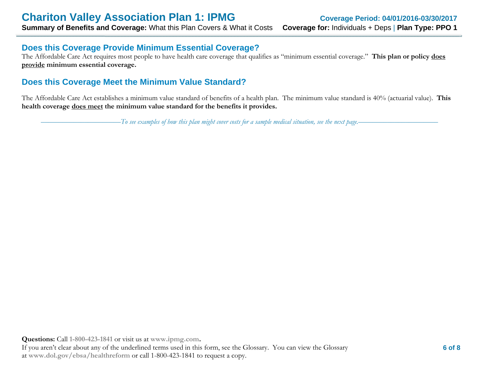### **Does this Coverage Provide Minimum Essential Coverage?**

The Affordable Care Act requires most people to have health care coverage that qualifies as "minimum essential coverage." **This plan or policy does provide minimum essential coverage.** 

## **Does this Coverage Meet the Minimum Value Standard?**

The Affordable Care Act establishes a minimum value standard of benefits of a health plan. The minimum value standard is 40% (actuarial value). **This health coverage does meet the minimum value standard for the benefits it provides.**

––––––––––––––––––––––*To see examples of how this plan might cover costs for a sample medical situation, see the next page.–––––––––––*–––––––––––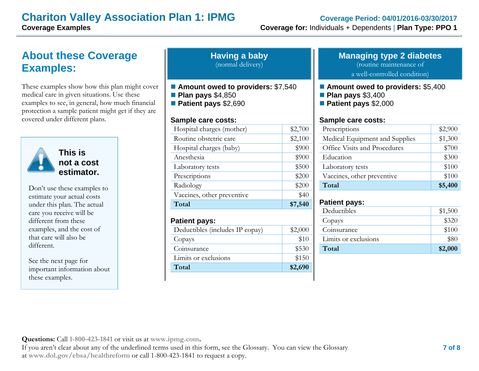# **Chariton Valley Association Plan 1: IPMG**<br>Coverage for: Individuals + Dependents | Plan Type: PPO 1

# **About these Coverage Examples:**

These examples show how this plan might cover medical care in given situations. Use these examples to see, in general, how much financial protection a sample patient might get if they are covered under different plans.



**This is not a cost estimator.** 

Don't use these examples to estimate your actual costs under this plan. The actual care you receive will be different from these examples, and the cost of that care will also be different.

See the next page for important information about these examples.

| <b>Having a baby</b> |  |
|----------------------|--|
| (normal delivery)    |  |

■ Amount owed to providers: \$7,540

**Plan pays** \$4,850

**Patient pays** \$2,690

#### **Sample care costs:**

| Total                      | \$7,540 |
|----------------------------|---------|
| Vaccines, other preventive | \$40    |
| Radiology                  | \$200   |
| Prescriptions              | \$200   |
| Laboratory tests           | \$500   |
| Anesthesia                 | \$900   |
| Hospital charges (baby)    | \$900   |
| Routine obstetric care     | \$2,100 |
| Hospital charges (mother)  | \$2,700 |
|                            |         |

| <b>Patient pays:</b>            |         |
|---------------------------------|---------|
| Deductibles (includes IP copay) | \$2,000 |
| Copays                          | \$10    |
| Coinsurance                     | \$530   |
| Limits or exclusions            | \$150   |
| Total                           | \$2,690 |

# **Managing type 2 diabetes**

(routine maintenance of

a well-controlled condition)

#### ■ Amount owed to providers: \$5,400

- **Plan pays** \$3,400
- **Patient pays** \$2,000

#### **Sample care costs:**

| Prescriptions                  | \$2,900 |
|--------------------------------|---------|
| Medical Equipment and Supplies | \$1,300 |
| Office Visits and Procedures   | \$700   |
| Education                      | \$300   |
| Laboratory tests               | \$100   |
| Vaccines, other preventive     | \$100   |
| Total                          | \$5,400 |

#### **Patient pays:**

| Deductibles          | \$1,500 |
|----------------------|---------|
| Copays               | 3320    |
| Coinsurance          | \$100   |
| Limits or exclusions | \$80    |
| Total                | \$2,000 |
|                      |         |

**Questions:** Call **1-800-423-1841** or visit us at **www.ipmg.com.**